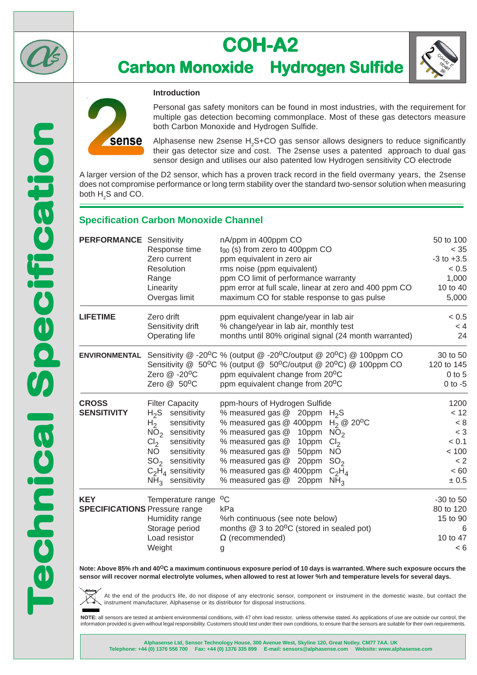

# **COH-A2 Carbon Monoxide Hydrogen Sulfide**



Personal gas safety monitors can be found in most industries, with the requirement for multiple gas detection becoming commonplace. Most of these gas detectors measure both Carbon Monoxide and Hydrogen Sulfide.

Alphasense new 2sense  $H_2$ S+CO gas sensor allows designers to reduce significantly their gas detector size and cost. The 2sense uses a patented approach to dual gas sensor design and utilises our also patented low Hydrogen sensitivity CO electrode

A larger version of the D2 sensor, which has a proven track record in the field overmany years, the 2sense does not compromise performance or long term stability over the standard two-sensor solution when measuring both  $\mathsf{H}_{\scriptscriptstyle{2}}\mathsf{S}$  and CO.

## **Specification Carbon Monoxide Channel**

**Introduction**

| <b>PERFORMANCE</b> Sensitivity                     | Response time<br>Zero current<br>Resolution<br>Range<br>Linearity<br>Overgas limit                                                                                                                                                                                           | nA/ppm in 400ppm CO<br>$t_{90}$ (s) from zero to 400ppm CO<br>ppm equivalent in zero air<br>rms noise (ppm equivalent)<br>ppm CO limit of performance warranty<br>ppm error at full scale, linear at zero and 400 ppm CO<br>maximum CO for stable response to gas pulse                                                                                                         | 50 to 100<br>$<$ 35<br>$-3$ to $+3.5$<br>< 0.5<br>1,000<br>10 to 40<br>5,000 |
|----------------------------------------------------|------------------------------------------------------------------------------------------------------------------------------------------------------------------------------------------------------------------------------------------------------------------------------|---------------------------------------------------------------------------------------------------------------------------------------------------------------------------------------------------------------------------------------------------------------------------------------------------------------------------------------------------------------------------------|------------------------------------------------------------------------------|
| <b>LIFETIME</b>                                    | Zero drift<br>Sensitivity drift<br>Operating life                                                                                                                                                                                                                            | ppm equivalent change/year in lab air<br>% change/year in lab air, monthly test<br>months until 80% original signal (24 month warranted)                                                                                                                                                                                                                                        | < 0.5<br>< 4<br>24                                                           |
| <b>ENVIRONMENTAL</b>                               | Zero @ -20°C<br>Zero @ 50°C                                                                                                                                                                                                                                                  | Sensitivity @ -20°C % (output @ -20°C/output @ 20°C) @ 100ppm CO<br>Sensitivity @ 50°C % (output @ 50°C/output @ 20°C) @ 100ppm CO<br>ppm equivalent change from 20°C<br>ppm equivalent change from 20°C                                                                                                                                                                        | 30 to 50<br>120 to 145<br>$0$ to 5<br>$0$ to $-5$                            |
| <b>CROSS</b><br><b>SENSITIVITY</b>                 | <b>Filter Capacity</b><br>$H_2S$<br>sensitivity<br>sensitivity<br>H <sub>2</sub><br>NO <sub>2</sub><br>sensitivity<br>Cl <sub>2</sub><br>sensitivity<br><b>NO</b><br>sensitivity<br>SO <sub>2</sub><br>sensitivity<br>$C_2H_4$ sensitivity<br>sensitivity<br>NH <sub>3</sub> | ppm-hours of Hydrogen Sulfide<br>% measured gas $@$ 20ppm $H_2S$<br>% measured gas @ 400ppm<br>$H_2 \otimes 20^{\circ}C$<br>% measured gas @<br>10ppm<br>NO <sub>2</sub><br>Cl <sub>2</sub><br>% measured gas @<br>10ppm<br>% measured gas @ 50ppm NO<br>20ppm $SO2$<br>% measured gas @<br>% measured gas @ 400ppm<br>$C_2H_4$<br>% measured gas @<br>20ppm<br>NH <sub>3</sub> | 1200<br>< 12<br>< 8<br>$<$ 3<br>< 0.1<br>< 100<br>< 2<br>< 60<br>± 0.5       |
| <b>KEY</b><br><b>SPECIFICATIONS</b> Pressure range | Temperature range<br>Humidity range<br>Storage period<br>Load resistor<br>Weight                                                                                                                                                                                             | $^{\circ}$ C<br>kPa<br>%rh continuous (see note below)<br>months @ 3 to 20°C (stored in sealed pot)<br>$\Omega$ (recommended)<br>g                                                                                                                                                                                                                                              | -30 to 50<br>80 to 120<br>15 to 90<br>6<br>10 to 47<br>< 6                   |

**Note: Above 85% rh and 40OC a maximum continuous exposure period of 10 days is warranted. Where such exposure occurs the sensor will recover normal electrolyte volumes, when allowed to rest at lower %rh and temperature levels for several days.**

At the end of the product's life, do not dispose of any electronic sensor, component or instrument in the domestic waste, but contact the instrument manufacturer, Alphasense or its distributor for disposal instructions.

**NOTE:** all sensors are tested at ambient environmental conditions, with 47 ohm load resistor, unless otherwise stated. As applications of use are outside our control, the information provided is given without legal responsibility. Customers should test under their own conditions, to ensure that the sensors are suitable for their own requirements.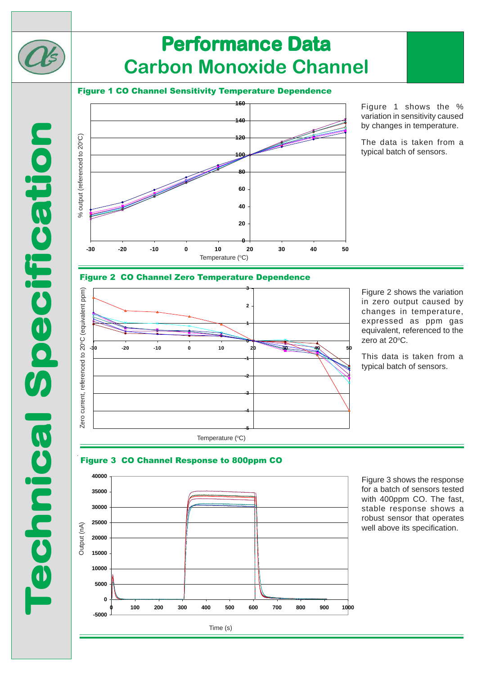

# **Performance Data Carbon Monoxide Channel**

### Figure 1 CO Channel Sensitivity Temperature Dependence



Figure 1 shows the % variation in sensitivity caused by changes in temperature.

The data is taken from a typical batch of sensors.

#### Figure 2 CO Channel Zero Temperature Dependence



Figure 2 shows the variation in zero output caused by changes in temperature, expressed as ppm gas equivalent, referenced to the zero at 20°C.

This data is taken from a typical batch of sensors.





Figure 3 shows the response for a batch of sensors tested with 400ppm CO. The fast, stable response shows a robust sensor that operates well above its specification.

Time (s)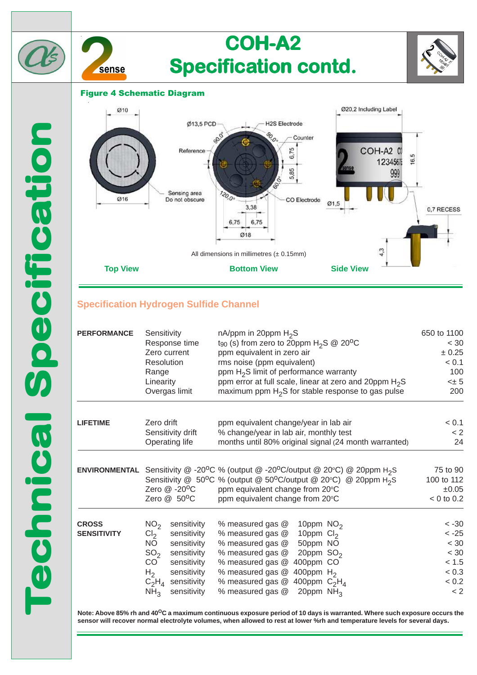

### Figure 4 Schematic Diagram



## **Specification Hydrogen Sulfide Channel**

| <b>PERFORMANCE</b>                 | Sensitivity                                                                                                                                                                                                                                       | nA/ppm in 20ppm $H_2S$                                                                                                                                                                                                                                                              | 650 to 1100                                                              |
|------------------------------------|---------------------------------------------------------------------------------------------------------------------------------------------------------------------------------------------------------------------------------------------------|-------------------------------------------------------------------------------------------------------------------------------------------------------------------------------------------------------------------------------------------------------------------------------------|--------------------------------------------------------------------------|
|                                    | Response time                                                                                                                                                                                                                                     | t <sub>90</sub> (s) from zero to 20ppm $H_2S \ @ 20^{\circ}C$                                                                                                                                                                                                                       | < 30                                                                     |
|                                    | Zero current                                                                                                                                                                                                                                      | ppm equivalent in zero air                                                                                                                                                                                                                                                          | ± 0.25                                                                   |
|                                    | Resolution                                                                                                                                                                                                                                        | rms noise (ppm equivalent)                                                                                                                                                                                                                                                          | < 0.1                                                                    |
|                                    | Range                                                                                                                                                                                                                                             | ppm H <sub>2</sub> S limit of performance warranty                                                                                                                                                                                                                                  | 100                                                                      |
|                                    | Linearity                                                                                                                                                                                                                                         | ppm error at full scale, linear at zero and 20ppm H <sub>2</sub> S                                                                                                                                                                                                                  | $< \pm 5$                                                                |
|                                    | Overgas limit                                                                                                                                                                                                                                     | maximum ppm $H_2S$ for stable response to gas pulse                                                                                                                                                                                                                                 | 200                                                                      |
| <b>LIFETIME</b>                    | Zero drift                                                                                                                                                                                                                                        | ppm equivalent change/year in lab air                                                                                                                                                                                                                                               | < 0.1                                                                    |
|                                    | Sensitivity drift                                                                                                                                                                                                                                 | % change/year in lab air, monthly test                                                                                                                                                                                                                                              | < 2                                                                      |
|                                    | Operating life                                                                                                                                                                                                                                    | months until 80% original signal (24 month warranted)                                                                                                                                                                                                                               | 24                                                                       |
| <b>ENVIRONMENTAL</b>               | Zero @ -20°C<br>Zero @ 50°C                                                                                                                                                                                                                       | Sensitivity @ -20°C % (output @ -20°C/output @ 20°C) @ 20ppm H <sub>2</sub> S<br>Sensitivity @ 50°C % (output @ 50°C/output @ 20°C) @ 20ppm H <sub>2</sub> S<br>ppm equivalent change from 20°C<br>ppm equivalent change from 20°C                                                  | 75 to 90<br>100 to 112<br>±0.05<br>$< 0$ to 0.2                          |
| <b>CROSS</b><br><b>SENSITIVITY</b> | NO <sub>2</sub><br>sensitivity<br>Cl <sub>2</sub><br>sensitivity<br><b>NO</b><br>sensitivity<br>SO <sub>2</sub><br>sensitivity<br>CO<br>sensitivity<br>H <sub>2</sub><br>sensitivity<br>$C_2H_4$<br>sensitivity<br>NH <sub>3</sub><br>sensitivity | % measured gas @<br>10ppm $NO2$<br>% measured gas @<br>10ppm $Cl2$<br>50ppm NO<br>% measured gas @<br>20ppm $SO2$<br>% measured gas @<br>% measured gas @<br>400ppm CO<br>% measured gas @<br>400ppm $H2$<br>400ppm $C_2H_4$<br>% measured gas @<br>% measured gas @<br>20ppm $NH3$ | $< -30$<br>$< -25$<br>$< 30$<br>$< 30$<br>< 1.5<br>< 0.3<br>< 0.2<br>< 2 |

**Note: Above 85% rh and 40OC a maximum continuous exposure period of 10 days is warranted. Where such exposure occurs the sensor will recover normal electrolyte volumes, when allowed to rest at lower %rh and temperature levels for several days.**